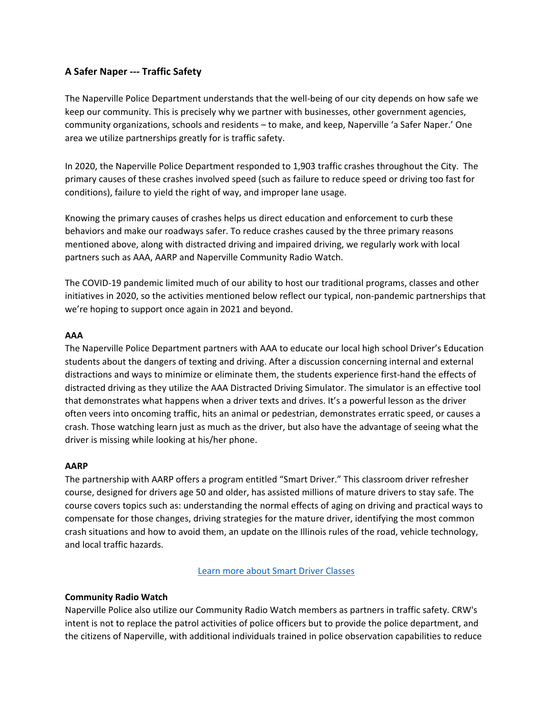# **A Safer Naper ‐‐‐ Traffic Safety**

The Naperville Police Department understands that the well‐being of our city depends on how safe we keep our community. This is precisely why we partner with businesses, other government agencies, community organizations, schools and residents – to make, and keep, Naperville 'a Safer Naper.' One area we utilize partnerships greatly for is traffic safety.

In 2020, the Naperville Police Department responded to 1,903 traffic crashes throughout the City. The primary causes of these crashes involved speed (such as failure to reduce speed or driving too fast for conditions), failure to yield the right of way, and improper lane usage.

Knowing the primary causes of crashes helps us direct education and enforcement to curb these behaviors and make our roadways safer. To reduce crashes caused by the three primary reasons mentioned above, along with distracted driving and impaired driving, we regularly work with local partners such as AAA, AARP and Naperville Community Radio Watch.

The COVID‐19 pandemic limited much of our ability to host our traditional programs, classes and other initiatives in 2020, so the activities mentioned below reflect our typical, non‐pandemic partnerships that we're hoping to support once again in 2021 and beyond.

### **AAA**

The Naperville Police Department partners with AAA to educate our local high school Driver's Education students about the dangers of texting and driving. After a discussion concerning internal and external distractions and ways to minimize or eliminate them, the students experience first‐hand the effects of distracted driving as they utilize the AAA Distracted Driving Simulator. The simulator is an effective tool that demonstrates what happens when a driver texts and drives. It's a powerful lesson as the driver often veers into oncoming traffic, hits an animal or pedestrian, demonstrates erratic speed, or causes a crash. Those watching learn just as much as the driver, but also have the advantage of seeing what the driver is missing while looking at his/her phone.

### **AARP**

The partnership with AARP offers a program entitled "Smart Driver." This classroom driver refresher course, designed for drivers age 50 and older, has assisted millions of mature drivers to stay safe. The course covers topics such as: understanding the normal effects of aging on driving and practical ways to compensate for those changes, driving strategies for the mature driver, identifying the most common crash situations and how to avoid them, an update on the Illinois rules of the road, vehicle technology, and local traffic hazards.

Learn more about Smart Driver Classes

### **Community Radio Watch**

Naperville Police also utilize our Community Radio Watch members as partners in traffic safety. CRW's intent is not to replace the patrol activities of police officers but to provide the police department, and the citizens of Naperville, with additional individuals trained in police observation capabilities to reduce